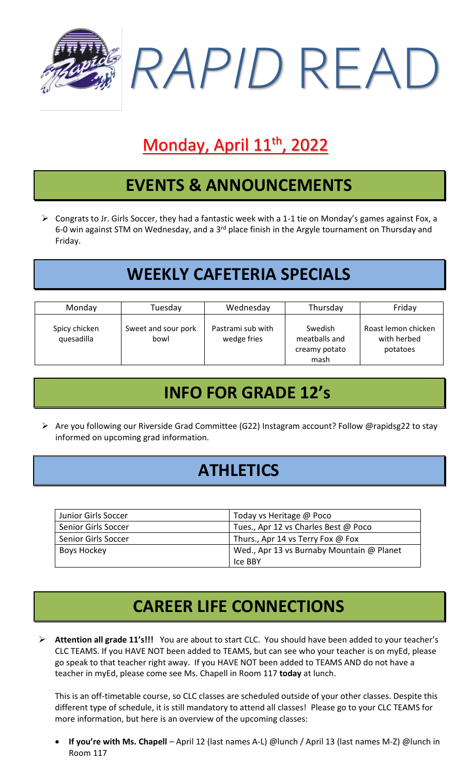

# Monday, April 11<sup>th</sup>, 2022

#### **EVENTS & ANNOUNCEMENTS**

➢ Congrats to Jr. Girls Soccer, they had a fantastic week with a 1-1 tie on Monday's games against Fox, a 6-0 win against STM on Wednesday, and a 3<sup>rd</sup> place finish in the Argyle tournament on Thursday and Friday.

### **WEEKLY CAFETERIA SPECIALS**

| Monday                      | Tuesday                     | Wednesday                        | Thursday                                          | Friday                                         |
|-----------------------------|-----------------------------|----------------------------------|---------------------------------------------------|------------------------------------------------|
| Spicy chicken<br>quesadilla | Sweet and sour pork<br>bowl | Pastrami sub with<br>wedge fries | Swedish<br>meatballs and<br>creamy potato<br>mash | Roast lemon chicken<br>with herbed<br>potatoes |

# **INFO FOR GRADE 12's**

➢ Are you following our Riverside Grad Committee (G22) Instagram account? Follow @rapidsg22 to stay informed on upcoming grad information.

#### **ATHLETICS**

| Junior Girls Soccer | Today vs Heritage @ Poco                  |  |
|---------------------|-------------------------------------------|--|
| Senior Girls Soccer | Tues., Apr 12 vs Charles Best @ Poco      |  |
| Senior Girls Soccer | Thurs., Apr 14 vs Terry Fox @ Fox         |  |
| Boys Hockey         | Wed., Apr 13 vs Burnaby Mountain @ Planet |  |
|                     | Ice BBY                                   |  |

# **CAREER LIFE CONNECTIONS**

➢ **Attention all grade 11's!!!** You are about to start CLC. You should have been added to your teacher's CLC TEAMS. If you HAVE NOT been added to TEAMS, but can see who your teacher is on myEd, please go speak to that teacher right away. If you HAVE NOT been added to TEAMS AND do not have a teacher in myEd, please come see Ms. Chapell in Room 117 **today** at lunch.

This is an off-timetable course, so CLC classes are scheduled outside of your other classes. Despite this different type of schedule, it is still mandatory to attend all classes! Please go to your CLC TEAMS for more information, but here is an overview of the upcoming classes:

• **If you're with Ms. Chapell** – April 12 (last names A-L) @lunch / April 13 (last names M-Z) @lunch in Room 117